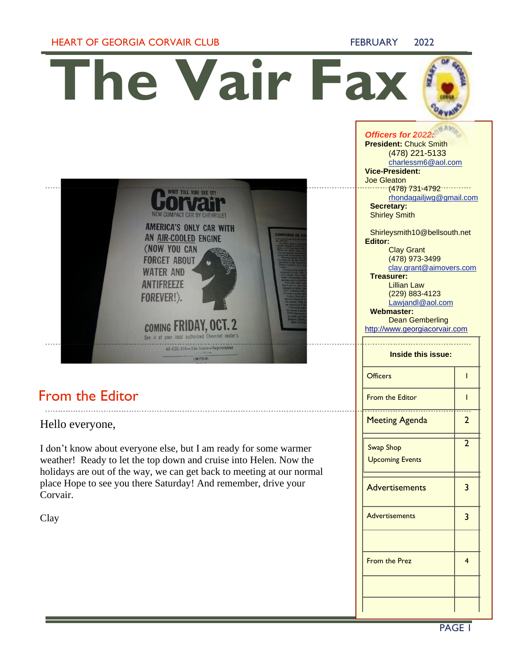### **HEART OF GEORGIA CORVAIR CLUB FEBRUARY 2022**

**The Vair Fax**

**WAIT TILL YOU SEE IT!** 

NEW COMPACT CAR BY CHEVROLET **AMERICA'S ONLY CAR WITH** AN AIR-COOLED ENGINE (NOW YOU CAN **FORGET ABOUT WATER AND ANTIFREEZE** FOREVER!).

**COMING FRIDAY, OCT. 2** See it at your local authorized Chevrolet dealer's 60-CII-318-336 lines-Sept

 $(18172.9)$ 

### *Officers for 2022:*

**President:** Chuck Smith (478) 221-5133 [charlessm6@aol.com](mailto:charlessm6@aol.com) **Vice-President:** Joe Gleaton  $\cdots$  (478) 731-4792 [rhondagailjwg@gmail.com](mailto:rhondagailjwg@gmail.com) **Secretary:** 

# From the Editor

Hello everyone,

I don't know about everyone else, but I am ready for some warmer weather! Ready to let the top down and cruise into Helen. Now the holidays are out of the way, we can get back to meeting at our normal place Hope to see you there Saturday! And remember, drive your Corvair.

Clay

| Secretary:<br><b>Shirley Smith</b>                      |                |
|---------------------------------------------------------|----------------|
| Shirleysmith10@bellsouth.net                            |                |
| <b>Editor:</b>                                          |                |
| <b>Clay Grant</b><br>(478) 973-3499                     |                |
| clay.grant@aimovers.com                                 |                |
| Treasurer:                                              |                |
| <b>Lillian Law</b>                                      |                |
| (229) 883-4123                                          |                |
| Lawjandl@aol.com                                        |                |
| Webmaster:                                              |                |
| <b>Dean Gemberling</b><br>http://www.georgiacorvair.com |                |
|                                                         |                |
| <b>Inside this issue:</b>                               |                |
| <b>Officers</b>                                         | ı              |
| <b>From the Editor</b>                                  | I              |
| <b>Meeting Agenda</b>                                   | $\overline{2}$ |
| <b>Swap Shop</b>                                        | $\overline{2}$ |
| <b>Upcoming Events</b>                                  |                |
| <b>Advertisements</b>                                   | 3              |
|                                                         |                |
| <b>Advertisements</b>                                   | 3              |
|                                                         |                |
| <b>From the Prez</b>                                    | 4              |
|                                                         |                |
|                                                         |                |

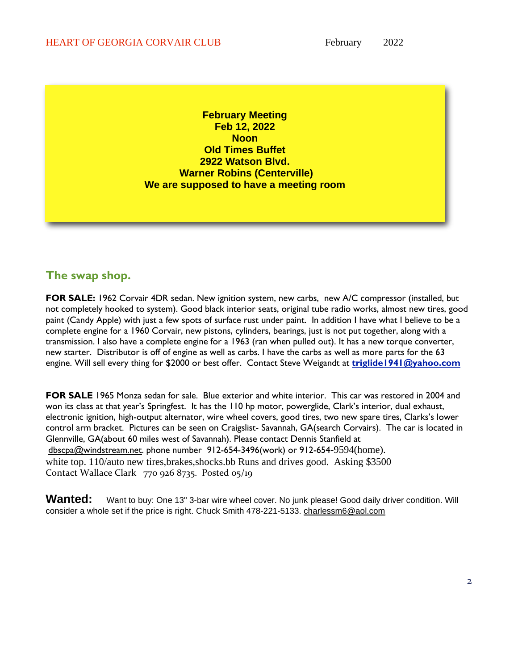**February Meeting Feb 12, 2022 Noon Old Times Buffet 2922 Watson Blvd. Warner Robins (Centerville) We are supposed to have a meeting room**

## **The swap shop.**

**FOR SALE:** 1962 Corvair 4DR sedan. New ignition system, new carbs, new A/C compressor (installed, but not completely hooked to system). Good black interior seats, original tube radio works, almost new tires, good paint (Candy Apple) with just a few spots of surface rust under paint. In addition I have what I believe to be a complete engine for a 1960 Corvair, new pistons, cylinders, bearings, just is not put together, along with a transmission. I also have a complete engine for a 1963 (ran when pulled out). It has a new torque converter, new starter. Distributor is off of engine as well as carbs. I have the carbs as well as more parts for the 63 engine. Will sell every thing for \$2000 or best offer. Contact Steve Weigandt at **[triglide1941@yahoo.com](mailto:triglide1941@yahoo.com)**

**FOR SALE** 1965 Monza sedan for sale. Blue exterior and white interior. This car was restored in 2004 and won its class at that year's Springfest. It has the 110 hp motor, powerglide, Clark's interior, dual exhaust, electronic ignition, high-output alternator, wire wheel covers, good tires, two new spare tires, Clarks's lower control arm bracket. Pictures can be seen on Craigslist- Savannah, GA(search Corvairs). The car is located in Glennville, GA(about 60 miles west of Savannah). Please contact Dennis Stanfield at [dbscpa@windstream.net.](mailto:dbscpa@windstream.net) phone number 912-654-3496(work) or 912-654-9594(home). white top. 110/auto new tires, brakes, shocks. bb Runs and drives good. Asking \$3500 Contact Wallace Clark 770 926 8735. Posted 05/19

Wanted: Want to buy: One 13" 3-bar wire wheel cover. No junk please! Good daily driver condition. Will consider a whole set if the price is right. Chuck Smith 478-221-5133. [charlessm6@aol.com](mailto:charlessm6@aol.com)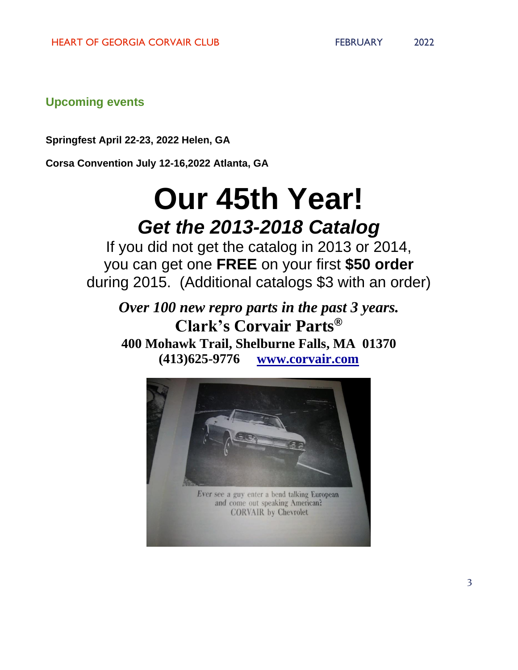**Upcoming events**

**Springfest April 22-23, 2022 Helen, GA**

**Corsa Convention July 12-16,2022 Atlanta, GA**

# **Our 45th Year!** *Get the 2013-2018 Catalog*

If you did not get the catalog in 2013 or 2014, you can get one **FREE** on your first **\$50 order** during 2015. (Additional catalogs \$3 with an order)

*Over 100 new repro parts in the past 3 years.* **Clark's Corvair Parts® 400 Mohawk Trail, Shelburne Falls, MA 01370 (413)625-9776 [www.corvair.com](http://www.corvair.com/)**

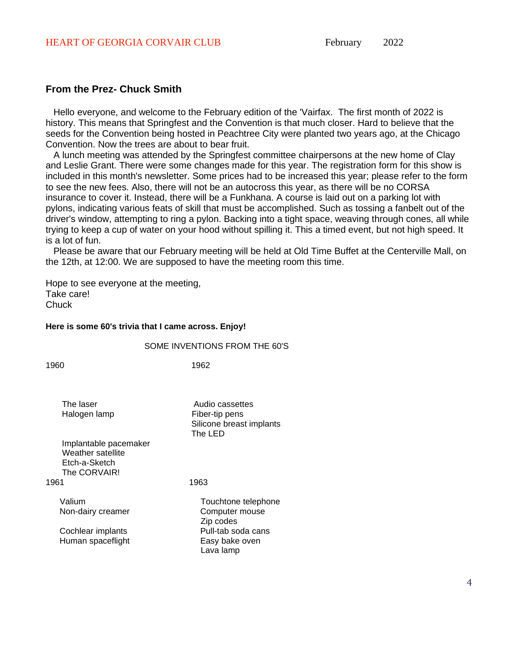### **From the Prez- Chuck Smith**

Hello everyone, and welcome to the February edition of the 'Vairfax. The first month of 2022 is history. This means that Springfest and the Convention is that much closer. Hard to believe that the seeds for the Convention being hosted in Peachtree City were planted two years ago, at the Chicago Convention. Now the trees are about to bear fruit.

A lunch meeting was attended by the Springfest committee chairpersons at the new home of Clay and Leslie Grant. There were some changes made for this year. The registration form for this show is included in this month's newsletter. Some prices had to be increased this year; please refer to the form to see the new fees. Also, there will not be an autocross this year, as there will be no CORSA insurance to cover it. Instead, there will be a Funkhana. A course is laid out on a parking lot with pylons, indicating various feats of skill that must be accomplished. Such as tossing a fanbelt out of the driver's window, attempting to ring a pylon. Backing into a tight space, weaving through cones, all while trying to keep a cup of water on your hood without spilling it. This a timed event, but not high speed. It is a lot of fun.

Please be aware that our February meeting will be held at Old Time Buffet at the Centerville Mall, on the 12th, at 12:00. We are supposed to have the meeting room this time.

Hope to see everyone at the meeting, Take care! **Chuck** 

### **Here is some 60's trivia that I came across. Enjoy!**

### SOME INVENTIONS FROM THE 60'S

1960 1962

| The laser             | Audio cassettes          |
|-----------------------|--------------------------|
| Halogen lamp          | Fiber-tip pens           |
|                       | Silicone breast implants |
|                       | The LED                  |
| Implantable pacemaker |                          |
| Weather satellite     |                          |
| Etch-a-Sketch         |                          |
| The CORVAIR!          |                          |
| 1961                  |                          |

Valium Touchtone telephone Non-dairy creamer Computer mouse

Human spaceflight Easy bake oven

Zip codes Cochlear implants **Pull-tab** soda cans Lava lamp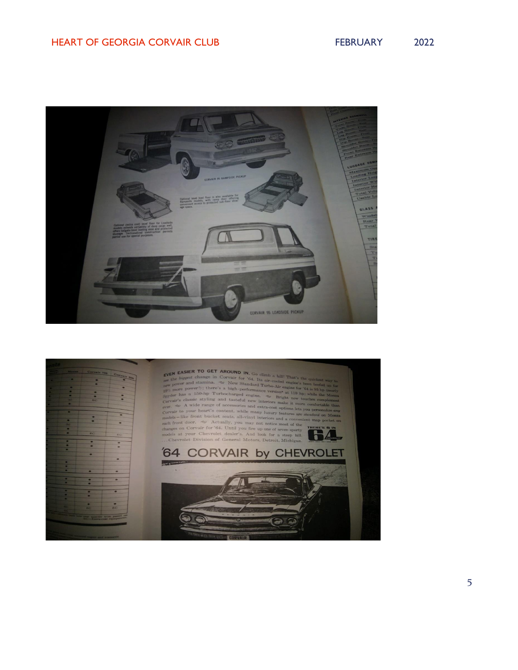